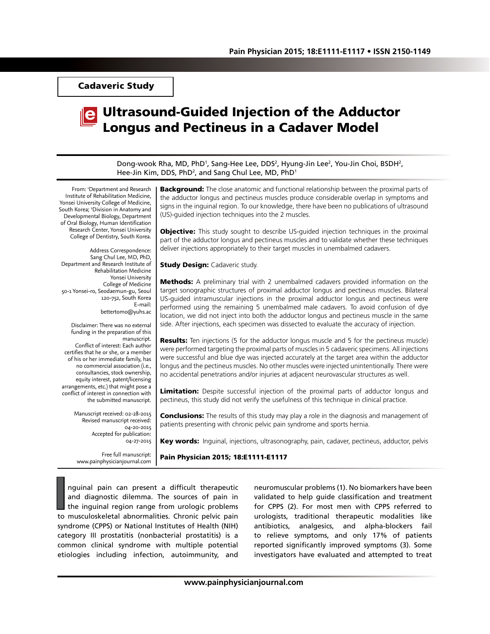Cadaveric Study

# Ultrasound-Guided Injection of the Adductor Longus and Pectineus in a Cadaver Model

Dong-wook Rha, MD, PhD<sup>1</sup>, Sang-Hee Lee, DDS<sup>2</sup>, Hyung-Jin Lee<sup>2</sup>, You-Jin Choi, BSDH<sup>2</sup>, Hee-Jin Kim, DDS, PhD<sup>2</sup>, and Sang Chul Lee, MD, PhD<sup>1</sup>

From: 1 Department and Research Institute of Rehabilitation Medicine, Yonsei University College of Medicine, South Korea; 2 Division in Anatomy and Developmental Biology, Department of Oral Biology, Human Identification Research Center, Yonsei University College of Dentistry, South Korea.

Address Correspondence: Sang Chul Lee, MD, PhD, Department and Research Institute of Rehabilitation Medicine Yonsei University College of Medicine 50-1 Yonsei-ro, Seodaemun-gu, Seoul 120-752, South Korea E-mail: bettertomo@yuhs.ac

Disclaimer: There was no external funding in the preparation of this manuscript.

Conflict of interest: Each author certifies that he or she, or a member of his or her immediate family, has no commercial association (i.e., consultancies, stock ownership, equity interest, patent/licensing arrangements, etc.) that might pose a conflict of interest in connection with the submitted manuscript.

> Manuscript received: 02-28-2015 Revised manuscript received: 04-20-2015 Accepted for publication: 04-27-2015

Free full manuscript: www.painphysicianjournal.com **Background:** The close anatomic and functional relationship between the proximal parts of the adductor longus and pectineus muscles produce considerable overlap in symptoms and signs in the inguinal region. To our knowledge, there have been no publications of ultrasound (US)-guided injection techniques into the 2 muscles.

**Objective:** This study sought to describe US-guided injection techniques in the proximal part of the adductor longus and pectineus muscles and to validate whether these techniques deliver injections appropriately to their target muscles in unembalmed cadavers.

**Study Design: Cadaveric study.** 

**Methods:** A preliminary trial with 2 unembalmed cadavers provided information on the target sonographic structures of proximal adductor longus and pectineus muscles. Bilateral US-guided intramuscular injections in the proximal adductor longus and pectineus were performed using the remaining 5 unembalmed male cadavers. To avoid confusion of dye location, we did not inject into both the adductor longus and pectineus muscle in the same side. After injections, each specimen was dissected to evaluate the accuracy of injection.

**Results:** Ten injections (5 for the adductor longus muscle and 5 for the pectineus muscle) were performed targeting the proximal parts of muscles in 5 cadaveric specimens. All injections were successful and blue dye was injected accurately at the target area within the adductor longus and the pectineus muscles. No other muscles were injected unintentionally. There were no accidental penetrations and/or injuries at adjacent neurovascular structures as well.

Limitation: Despite successful injection of the proximal parts of adductor longus and pectineus, this study did not verify the usefulness of this technique in clinical practice.

**Conclusions:** The results of this study may play a role in the diagnosis and management of patients presenting with chronic pelvic pain syndrome and sports hernia.

Key words: Inquinal, injections, ultrasonography, pain, cadaver, pectineus, adductor, pelvis

Pain Physician 2015; 18:E1111-E1117

I<br> **I** nguinal pain can present a difficult therapeutic<br>
and diagnostic dilemma. The sources of pain in<br>
the inguinal region range from urologic problems<br>
to musculoskeletal abnormalities. Chronic pelvic pain nguinal pain can present a difficult therapeutic and diagnostic dilemma. The sources of pain in the inguinal region range from urologic problems syndrome (CPPS) or National Institutes of Health (NIH) category III prostatitis (nonbacterial prostatitis) is a common clinical syndrome with multiple potential etiologies including infection, autoimmunity, and

neuromuscular problems (1). No biomarkers have been validated to help guide classification and treatment for CPPS (2). For most men with CPPS referred to urologists, traditional therapeutic modalities like antibiotics, analgesics, and alpha-blockers fail to relieve symptoms, and only 17% of patients reported significantly improved symptoms (3). Some investigators have evaluated and attempted to treat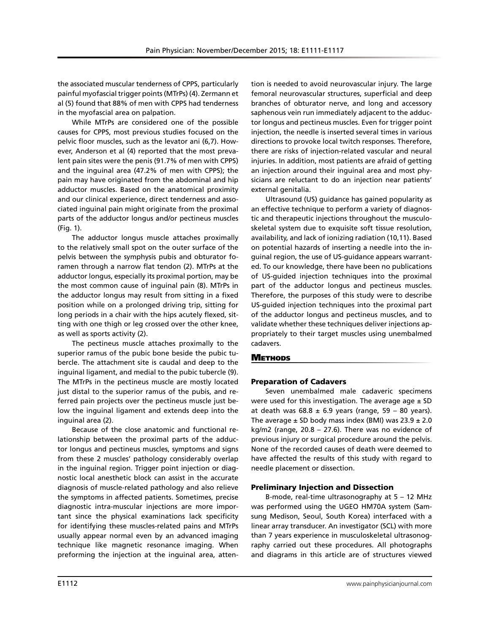the associated muscular tenderness of CPPS, particularly painful myofascial trigger points (MTrPs) (4). Zermann et al (5) found that 88% of men with CPPS had tenderness in the myofascial area on palpation.

While MTrPs are considered one of the possible causes for CPPS, most previous studies focused on the pelvic floor muscles, such as the levator ani (6,7). However, Anderson et al (4) reported that the most prevalent pain sites were the penis (91.7% of men with CPPS) and the inguinal area (47.2% of men with CPPS); the pain may have originated from the abdominal and hip adductor muscles. Based on the anatomical proximity and our clinical experience, direct tenderness and associated inguinal pain might originate from the proximal parts of the adductor longus and/or pectineus muscles (Fig. 1).

The adductor longus muscle attaches proximally to the relatively small spot on the outer surface of the pelvis between the symphysis pubis and obturator foramen through a narrow flat tendon (2). MTrPs at the adductor longus, especially its proximal portion, may be the most common cause of inguinal pain (8). MTrPs in the adductor longus may result from sitting in a fixed position while on a prolonged driving trip, sitting for long periods in a chair with the hips acutely flexed, sitting with one thigh or leg crossed over the other knee, as well as sports activity (2).

The pectineus muscle attaches proximally to the superior ramus of the pubic bone beside the pubic tubercle. The attachment site is caudal and deep to the inguinal ligament, and medial to the pubic tubercle (9). The MTrPs in the pectineus muscle are mostly located just distal to the superior ramus of the pubis, and referred pain projects over the pectineus muscle just below the inguinal ligament and extends deep into the inguinal area (2).

Because of the close anatomic and functional relationship between the proximal parts of the adductor longus and pectineus muscles, symptoms and signs from these 2 muscles' pathology considerably overlap in the inguinal region. Trigger point injection or diagnostic local anesthetic block can assist in the accurate diagnosis of muscle-related pathology and also relieve the symptoms in affected patients. Sometimes, precise diagnostic intra-muscular injections are more important since the physical examinations lack specificity for identifying these muscles-related pains and MTrPs usually appear normal even by an advanced imaging technique like magnetic resonance imaging. When preforming the injection at the inguinal area, attention is needed to avoid neurovascular injury. The large femoral neurovascular structures, superficial and deep branches of obturator nerve, and long and accessory saphenous vein run immediately adjacent to the adductor longus and pectineus muscles. Even for trigger point injection, the needle is inserted several times in various directions to provoke local twitch responses. Therefore, there are risks of injection-related vascular and neural injuries. In addition, most patients are afraid of getting an injection around their inguinal area and most physicians are reluctant to do an injection near patients' external genitalia.

Ultrasound (US) guidance has gained popularity as an effective technique to perform a variety of diagnostic and therapeutic injections throughout the musculoskeletal system due to exquisite soft tissue resolution, availability, and lack of ionizing radiation (10,11). Based on potential hazards of inserting a needle into the inguinal region, the use of US-guidance appears warranted. To our knowledge, there have been no publications of US-guided injection techniques into the proximal part of the adductor longus and pectineus muscles. Therefore, the purposes of this study were to describe US-guided injection techniques into the proximal part of the adductor longus and pectineus muscles, and to validate whether these techniques deliver injections appropriately to their target muscles using unembalmed cadavers.

# **METHODS**

# Preparation of Cadavers

Seven unembalmed male cadaveric specimens were used for this investigation. The average age  $\pm$  SD at death was  $68.8 \pm 6.9$  years (range, 59 – 80 years). The average  $\pm$  SD body mass index (BMI) was 23.9  $\pm$  2.0 kg/m2 (range,  $20.8 - 27.6$ ). There was no evidence of previous injury or surgical procedure around the pelvis. None of the recorded causes of death were deemed to have affected the results of this study with regard to needle placement or dissection.

#### Preliminary Injection and Dissection

B-mode, real-time ultrasonography at 5 – 12 MHz was performed using the UGEO HM70A system (Samsung Medison, Seoul, South Korea) interfaced with a linear array transducer. An investigator (SCL) with more than 7 years experience in musculoskeletal ultrasonography carried out these procedures. All photographs and diagrams in this article are of structures viewed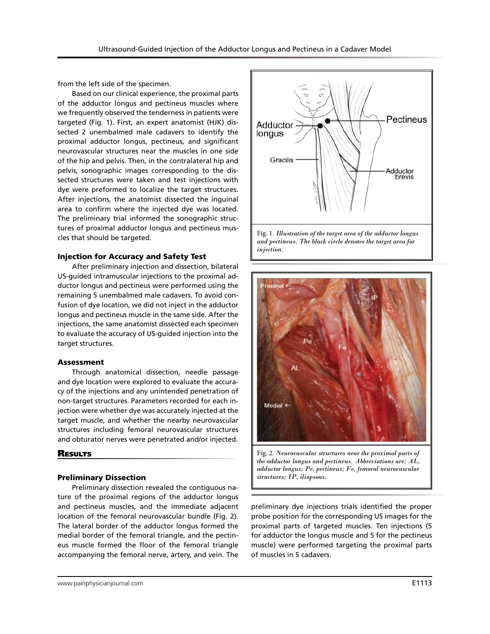from the left side of the specimen.

Based on our clinical experience, the proximal parts of the adductor longus and pectineus muscles where we frequently observed the tenderness in patients were targeted (Fig. 1). First, an expert anatomist (HJK) dissected 2 unembalmed male cadavers to identify the proximal adductor longus, pectineus, and significant neurovascular structures near the muscles in one side of the hip and pelvis. Then, in the contralateral hip and pelvis, sonographic images corresponding to the dissected structures were taken and test injections with dye were preformed to localize the target structures. After injections, the anatomist dissected the inguinal area to confirm where the injected dye was located. The preliminary trial informed the sonographic structures of proximal adductor longus and pectineus muscles that should be targeted.

#### Injection for Accuracy and Safety Test

After preliminary injection and dissection, bilateral US-guided intramuscular injections to the proximal adductor longus and pectineus were performed using the remaining 5 unembalmed male cadavers. To avoid confusion of dye location, we did not inject in the adductor longus and pectineus muscle in the same side. After the injections, the same anatomist dissected each specimen to evaluate the accuracy of US-guided injection into the target structures.

#### Assessment

Through anatomical dissection, needle passage and dye location were explored to evaluate the accuracy of the injections and any unintended penetration of non-target structures. Parameters recorded for each injection were whether dye was accurately injected at the target muscle, and whether the nearby neurovascular structures including femoral neurovascular structures and obturator nerves were penetrated and/or injected.

#### **RESULTS**

#### Preliminary Dissection

Preliminary dissection revealed the contiguous nature of the proximal regions of the adductor longus and pectineus muscles, and the immediate adjacent location of the femoral neurovascular bundle (Fig. 2). The lateral border of the adductor longus formed the medial border of the femoral triangle, and the pectineus muscle formed the floor of the femoral triangle accompanying the femoral nerve, artery, and vein. The





Fig. 2. *Neurovascular structures near the proximal parts of the adductor longus and pectineus. Abbreviations are: AL, adductor longus; Pe, pectineus; Fe, femoral neurovascular structures; IP, iliopsoas.* 

preliminary dye injections trials identified the proper probe position for the corresponding US images for the proximal parts of targeted muscles. Ten injections (5 for adductor the longus muscle and 5 for the pectineus muscle) were performed targeting the proximal parts of muscles in 5 cadavers.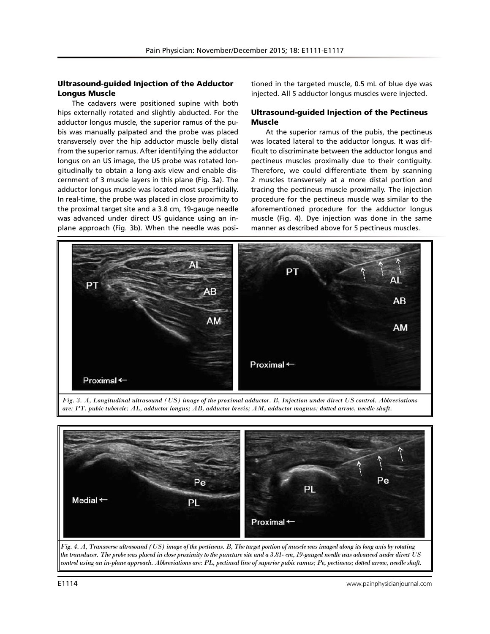# Ultrasound-guided Injection of the Adductor Longus Muscle

The cadavers were positioned supine with both hips externally rotated and slightly abducted. For the adductor longus muscle, the superior ramus of the pubis was manually palpated and the probe was placed transversely over the hip adductor muscle belly distal from the superior ramus. After identifying the adductor longus on an US image, the US probe was rotated longitudinally to obtain a long-axis view and enable discernment of 3 muscle layers in this plane (Fig. 3a). The adductor longus muscle was located most superficially. In real-time, the probe was placed in close proximity to the proximal target site and a 3.8 cm, 19-gauge needle was advanced under direct US guidance using an inplane approach (Fig. 3b). When the needle was positioned in the targeted muscle, 0.5 mL of blue dye was injected. All 5 adductor longus muscles were injected.

# Ultrasound-guided Injection of the Pectineus Muscle

At the superior ramus of the pubis, the pectineus was located lateral to the adductor longus. It was difficult to discriminate between the adductor longus and pectineus muscles proximally due to their contiguity. Therefore, we could differentiate them by scanning 2 muscles transversely at a more distal portion and tracing the pectineus muscle proximally. The injection procedure for the pectineus muscle was similar to the aforementioned procedure for the adductor longus muscle (Fig. 4). Dye injection was done in the same manner as described above for 5 pectineus muscles.



*Fig. 3. A, Longitudinal ultrasound (US) image of the proximal adductor. B, Injection under direct US control. Abbreviations are: PT, pubic tubercle; AL, adductor longus; AB, adductor brevis; AM, adductor magnus; dotted arrow, needle shaft.*



*control using an in-plane approach. Abbreviations are: PL, pectineal line of superior pubic ramus; Pe, pectineus; dotted arrow, needle shaft.*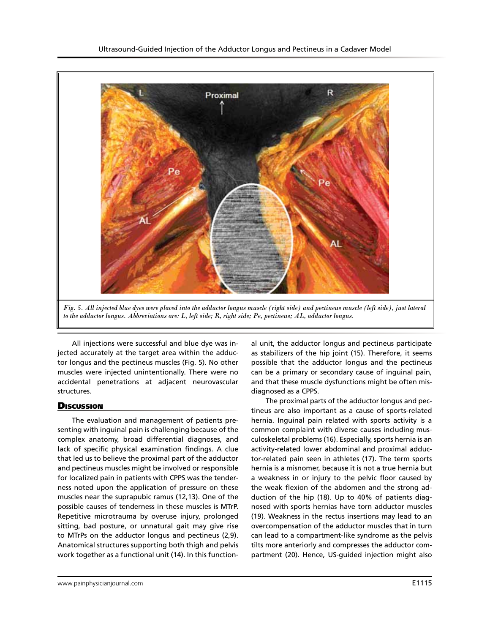

*to the adductor longus. Abbreviations are: L, left side; R, right side; Pe, pectineus; AL, adductor longus.*

All injections were successful and blue dye was injected accurately at the target area within the adductor longus and the pectineus muscles (Fig. 5). No other muscles were injected unintentionally. There were no accidental penetrations at adjacent neurovascular structures.

# **Discussion**

The evaluation and management of patients presenting with inguinal pain is challenging because of the complex anatomy, broad differential diagnoses, and lack of specific physical examination findings. A clue that led us to believe the proximal part of the adductor and pectineus muscles might be involved or responsible for localized pain in patients with CPPS was the tenderness noted upon the application of pressure on these muscles near the suprapubic ramus (12,13). One of the possible causes of tenderness in these muscles is MTrP. Repetitive microtrauma by overuse injury, prolonged sitting, bad posture, or unnatural gait may give rise to MTrPs on the adductor longus and pectineus (2,9). Anatomical structures supporting both thigh and pelvis work together as a functional unit (14). In this function-

al unit, the adductor longus and pectineus participate as stabilizers of the hip joint (15). Therefore, it seems possible that the adductor longus and the pectineus can be a primary or secondary cause of inguinal pain, and that these muscle dysfunctions might be often misdiagnosed as a CPPS.

The proximal parts of the adductor longus and pectineus are also important as a cause of sports-related hernia. Inguinal pain related with sports activity is a common complaint with diverse causes including musculoskeletal problems (16). Especially, sports hernia is an activity-related lower abdominal and proximal adductor-related pain seen in athletes (17). The term sports hernia is a misnomer, because it is not a true hernia but a weakness in or injury to the pelvic floor caused by the weak flexion of the abdomen and the strong adduction of the hip (18). Up to 40% of patients diagnosed with sports hernias have torn adductor muscles (19). Weakness in the rectus insertions may lead to an overcompensation of the adductor muscles that in turn can lead to a compartment-like syndrome as the pelvis tilts more anteriorly and compresses the adductor compartment (20). Hence, US-guided injection might also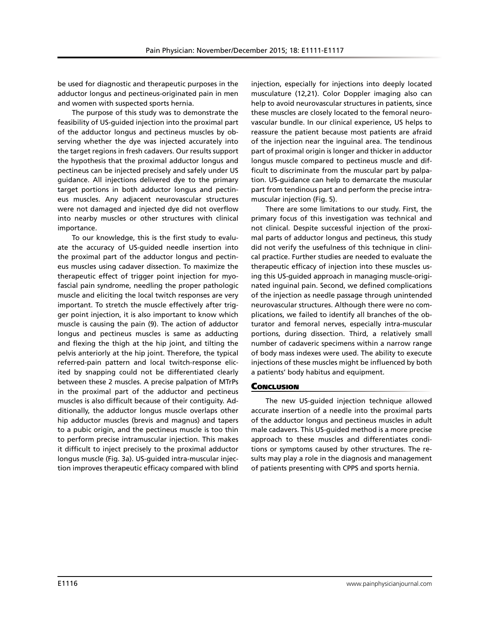be used for diagnostic and therapeutic purposes in the adductor longus and pectineus-originated pain in men and women with suspected sports hernia.

The purpose of this study was to demonstrate the feasibility of US-guided injection into the proximal part of the adductor longus and pectineus muscles by observing whether the dye was injected accurately into the target regions in fresh cadavers. Our results support the hypothesis that the proximal adductor longus and pectineus can be injected precisely and safely under US guidance. All injections delivered dye to the primary target portions in both adductor longus and pectineus muscles. Any adjacent neurovascular structures were not damaged and injected dye did not overflow into nearby muscles or other structures with clinical importance.

To our knowledge, this is the first study to evaluate the accuracy of US-guided needle insertion into the proximal part of the adductor longus and pectineus muscles using cadaver dissection. To maximize the therapeutic effect of trigger point injection for myofascial pain syndrome, needling the proper pathologic muscle and eliciting the local twitch responses are very important. To stretch the muscle effectively after trigger point injection, it is also important to know which muscle is causing the pain (9). The action of adductor longus and pectineus muscles is same as adducting and flexing the thigh at the hip joint, and tilting the pelvis anteriorly at the hip joint. Therefore, the typical referred-pain pattern and local twitch-response elicited by snapping could not be differentiated clearly between these 2 muscles. A precise palpation of MTrPs in the proximal part of the adductor and pectineus muscles is also difficult because of their contiguity. Additionally, the adductor longus muscle overlaps other hip adductor muscles (brevis and magnus) and tapers to a pubic origin, and the pectineus muscle is too thin to perform precise intramuscular injection. This makes it difficult to inject precisely to the proximal adductor longus muscle (Fig. 3a). US-guided intra-muscular injection improves therapeutic efficacy compared with blind

injection, especially for injections into deeply located musculature (12,21). Color Doppler imaging also can help to avoid neurovascular structures in patients, since these muscles are closely located to the femoral neurovascular bundle. In our clinical experience, US helps to reassure the patient because most patients are afraid of the injection near the inguinal area. The tendinous part of proximal origin is longer and thicker in adductor longus muscle compared to pectineus muscle and difficult to discriminate from the muscular part by palpation. US-guidance can help to demarcate the muscular part from tendinous part and perform the precise intramuscular injection (Fig. 5).

There are some limitations to our study. First, the primary focus of this investigation was technical and not clinical. Despite successful injection of the proximal parts of adductor longus and pectineus, this study did not verify the usefulness of this technique in clinical practice. Further studies are needed to evaluate the therapeutic efficacy of injection into these muscles using this US-guided approach in managing muscle-originated inguinal pain. Second, we defined complications of the injection as needle passage through unintended neurovascular structures. Although there were no complications, we failed to identify all branches of the obturator and femoral nerves, especially intra-muscular portions, during dissection. Third, a relatively small number of cadaveric specimens within a narrow range of body mass indexes were used. The ability to execute injections of these muscles might be influenced by both a patients' body habitus and equipment.

# **CONCLUSION**

The new US-guided injection technique allowed accurate insertion of a needle into the proximal parts of the adductor longus and pectineus muscles in adult male cadavers. This US-guided method is a more precise approach to these muscles and differentiates conditions or symptoms caused by other structures. The results may play a role in the diagnosis and management of patients presenting with CPPS and sports hernia.